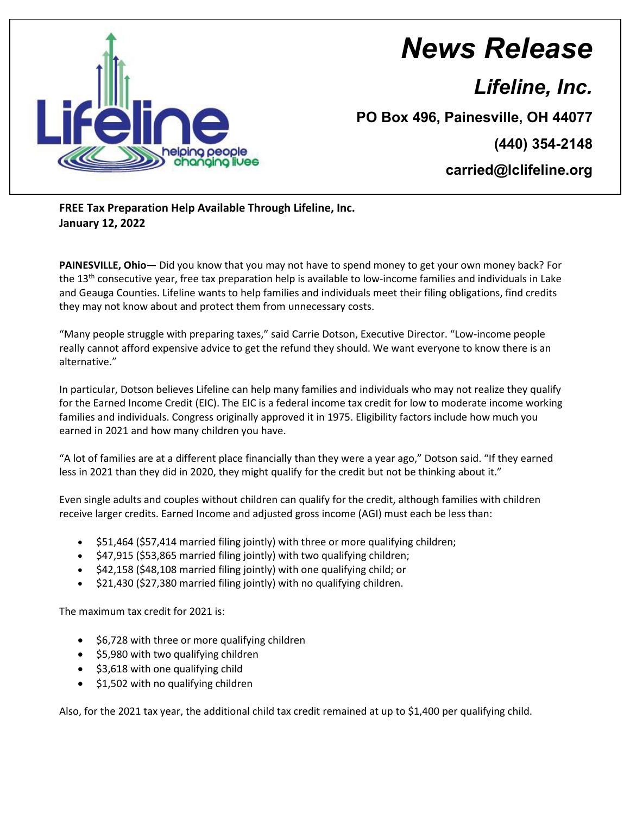

## *News Release*

*Lifeline, Inc.*

**PO Box 496, Painesville, OH 44077**

**(440) 354-2148**

**carried@lclifeline.org**

**FREE Tax Preparation Help Available Through Lifeline, Inc. January 12, 2022**

**PAINESVILLE, Ohio—** Did you know that you may not have to spend money to get your own money back? For the 13th consecutive year, free tax preparation help is available to low-income families and individuals in Lake and Geauga Counties. Lifeline wants to help families and individuals meet their filing obligations, find credits they may not know about and protect them from unnecessary costs.

"Many people struggle with preparing taxes," said Carrie Dotson, Executive Director. "Low-income people really cannot afford expensive advice to get the refund they should. We want everyone to know there is an alternative."

In particular, Dotson believes Lifeline can help many families and individuals who may not realize they qualify for the Earned Income Credit (EIC). The EIC is a federal income tax credit for low to moderate income working families and individuals. Congress originally approved it in 1975. Eligibility factors include how much you earned in 2021 and how many children you have.

"A lot of families are at a different place financially than they were a year ago," Dotson said. "If they earned less in 2021 than they did in 2020, they might qualify for the credit but not be thinking about it."

Even single adults and couples without children can qualify for the credit, although families with children receive larger credits[. Earned Income](http://www.irs.gov/individuals/article/0,,id=176508,00.html) and adjusted gross income (AGI) must each be less than:

- \$51,464 (\$57,414 married filing jointly) with three or more qualifying children;
- \$47,915 (\$53,865 married filing jointly) with two qualifying children;
- \$42,158 (\$48,108 married filing jointly) with one qualifying child; or
- \$21,430 (\$27,380 married filing jointly) with no qualifying children.

The maximum tax credit for 2021 is:

- \$6,728 with three or more qualifying children
- \$5,980 with two qualifying children
- \$3,618 with one qualifying child
- \$1,502 with no qualifying children

Also, for the 2021 tax year, the additional child tax credit remained at up to \$1,400 per qualifying child.